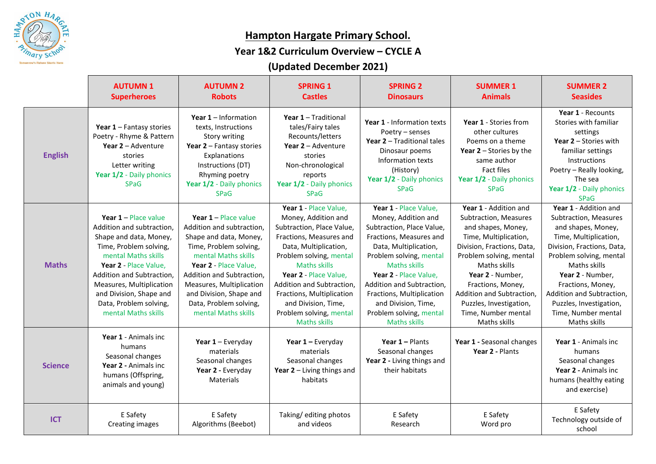

## **Hampton Hargate Primary School.**

### **Year 1&2 Curriculum Overview – CYCLE A**

# **(Updated December 2021)**

|                | <b>AUTUMN1</b><br><b>Superheroes</b>                                                                                                                                                                                                                                                         | <b>AUTUMN 2</b><br><b>Robots</b>                                                                                                                                                                                                                                                             | <b>SPRING 1</b><br><b>Castles</b>                                                                                                                                                                                                                                                                                                           | <b>SPRING 2</b><br><b>Dinosaurs</b>                                                                                                                                                                                                                                                                                                         | <b>SUMMER 1</b><br><b>Animals</b>                                                                                                                                                                                                                                                                              | <b>SUMMER 2</b><br><b>Seasides</b>                                                                                                                                                                                                                                                                             |
|----------------|----------------------------------------------------------------------------------------------------------------------------------------------------------------------------------------------------------------------------------------------------------------------------------------------|----------------------------------------------------------------------------------------------------------------------------------------------------------------------------------------------------------------------------------------------------------------------------------------------|---------------------------------------------------------------------------------------------------------------------------------------------------------------------------------------------------------------------------------------------------------------------------------------------------------------------------------------------|---------------------------------------------------------------------------------------------------------------------------------------------------------------------------------------------------------------------------------------------------------------------------------------------------------------------------------------------|----------------------------------------------------------------------------------------------------------------------------------------------------------------------------------------------------------------------------------------------------------------------------------------------------------------|----------------------------------------------------------------------------------------------------------------------------------------------------------------------------------------------------------------------------------------------------------------------------------------------------------------|
| <b>English</b> | Year 1 - Fantasy stories<br>Poetry - Rhyme & Pattern<br>Year 2 - Adventure<br>stories<br>Letter writing<br>Year 1/2 - Daily phonics<br><b>SPaG</b>                                                                                                                                           | Year $1$ – Information<br>texts, Instructions<br>Story writing<br>Year 2 - Fantasy stories<br>Explanations<br>Instructions (DT)<br>Rhyming poetry<br>Year 1/2 - Daily phonics<br><b>SPaG</b>                                                                                                 | Year 1 - Traditional<br>tales/Fairy tales<br>Recounts/letters<br>Year $2 -$ Adventure<br>stories<br>Non-chronological<br>reports<br>Year 1/2 - Daily phonics<br><b>SPaG</b>                                                                                                                                                                 | Year 1 - Information texts<br>Poetry - senses<br>Year 2 - Traditional tales<br>Dinosaur poems<br>Information texts<br>(History)<br>Year 1/2 - Daily phonics<br><b>SPaG</b>                                                                                                                                                                  | Year 1 - Stories from<br>other cultures<br>Poems on a theme<br><b>Year 2</b> – Stories by the<br>same author<br><b>Fact files</b><br>Year 1/2 - Daily phonics<br><b>SPaG</b>                                                                                                                                   | Year 1 - Recounts<br>Stories with familiar<br>settings<br>Year 2 - Stories with<br>familiar settings<br>Instructions<br>Poetry - Really looking,<br>The sea<br>Year 1/2 - Daily phonics<br><b>SPaG</b>                                                                                                         |
| <b>Maths</b>   | Year $1$ – Place value<br>Addition and subtraction,<br>Shape and data, Money,<br>Time, Problem solving,<br>mental Maths skills<br>Year 2 - Place Value,<br>Addition and Subtraction,<br>Measures, Multiplication<br>and Division, Shape and<br>Data, Problem solving,<br>mental Maths skills | Year $1$ – Place value<br>Addition and subtraction,<br>Shape and data, Money,<br>Time, Problem solving,<br>mental Maths skills<br>Year 2 - Place Value,<br>Addition and Subtraction,<br>Measures, Multiplication<br>and Division, Shape and<br>Data, Problem solving,<br>mental Maths skills | Year 1 - Place Value,<br>Money, Addition and<br>Subtraction, Place Value,<br>Fractions, Measures and<br>Data, Multiplication,<br>Problem solving, mental<br><b>Maths skills</b><br>Year 2 - Place Value,<br>Addition and Subtraction,<br>Fractions, Multiplication<br>and Division, Time,<br>Problem solving, mental<br><b>Maths skills</b> | Year 1 - Place Value,<br>Money, Addition and<br>Subtraction, Place Value,<br>Fractions, Measures and<br>Data, Multiplication,<br>Problem solving, mental<br><b>Maths skills</b><br>Year 2 - Place Value,<br>Addition and Subtraction,<br>Fractions, Multiplication<br>and Division, Time,<br>Problem solving, mental<br><b>Maths skills</b> | Year 1 - Addition and<br>Subtraction, Measures<br>and shapes, Money,<br>Time, Multiplication,<br>Division, Fractions, Data,<br>Problem solving, mental<br>Maths skills<br>Year 2 - Number,<br>Fractions, Money,<br>Addition and Subtraction,<br>Puzzles, Investigation,<br>Time, Number mental<br>Maths skills | Year 1 - Addition and<br>Subtraction, Measures<br>and shapes, Money,<br>Time, Multiplication,<br>Division, Fractions, Data,<br>Problem solving, mental<br>Maths skills<br>Year 2 - Number,<br>Fractions, Money,<br>Addition and Subtraction,<br>Puzzles, Investigation,<br>Time, Number mental<br>Maths skills |
| <b>Science</b> | Year 1 - Animals inc<br>humans<br>Seasonal changes<br>Year 2 - Animals inc<br>humans (Offspring,<br>animals and young)                                                                                                                                                                       | Year $1$ – Everyday<br>materials<br>Seasonal changes<br>Year 2 - Everyday<br><b>Materials</b>                                                                                                                                                                                                | Year 1 - Everyday<br>materials<br>Seasonal changes<br>Year $2$ – Living things and<br>habitats                                                                                                                                                                                                                                              | Year $1 -$ Plants<br>Seasonal changes<br>Year 2 - Living things and<br>their habitats                                                                                                                                                                                                                                                       | Year 1 - Seasonal changes<br>Year 2 - Plants                                                                                                                                                                                                                                                                   | Year 1 - Animals inc<br>humans<br>Seasonal changes<br>Year 2 - Animals inc<br>humans (healthy eating<br>and exercise)                                                                                                                                                                                          |
| <b>ICT</b>     | E Safety<br><b>Creating images</b>                                                                                                                                                                                                                                                           | E Safety<br>Algorithms (Beebot)                                                                                                                                                                                                                                                              | Taking/editing photos<br>and videos                                                                                                                                                                                                                                                                                                         | E Safety<br>Research                                                                                                                                                                                                                                                                                                                        | E Safety<br>Word pro                                                                                                                                                                                                                                                                                           | E Safety<br>Technology outside of<br>school                                                                                                                                                                                                                                                                    |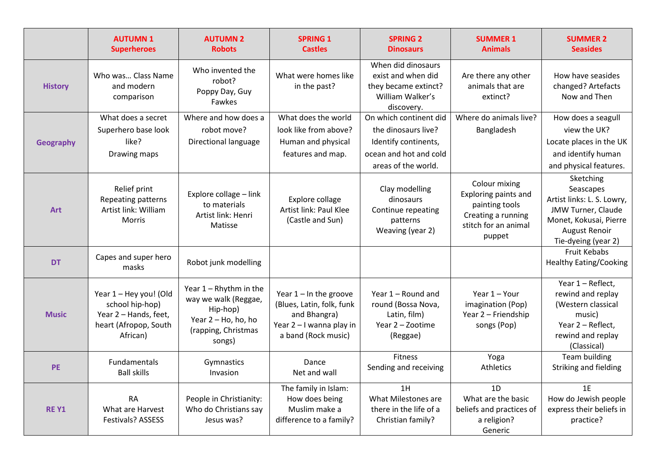|                | <b>AUTUMN1</b><br><b>Superheroes</b>                                                                    | <b>AUTUMN 2</b><br><b>Robots</b>                                                                                      | <b>SPRING 1</b><br><b>Castles</b>                                                                                         | <b>SPRING 2</b><br><b>Dinosaurs</b>                                                                | <b>SUMMER 1</b><br><b>Animals</b>                                                                               | <b>SUMMER 2</b><br><b>Seasides</b>                                                                                                                  |
|----------------|---------------------------------------------------------------------------------------------------------|-----------------------------------------------------------------------------------------------------------------------|---------------------------------------------------------------------------------------------------------------------------|----------------------------------------------------------------------------------------------------|-----------------------------------------------------------------------------------------------------------------|-----------------------------------------------------------------------------------------------------------------------------------------------------|
| <b>History</b> | Who was Class Name<br>and modern<br>comparison                                                          | Who invented the<br>robot?<br>Poppy Day, Guy<br>Fawkes                                                                | What were homes like<br>in the past?                                                                                      | When did dinosaurs<br>exist and when did<br>they became extinct?<br>William Walker's<br>discovery. | Are there any other<br>animals that are<br>extinct?                                                             | How have seasides<br>changed? Artefacts<br>Now and Then                                                                                             |
|                | What does a secret                                                                                      | Where and how does a                                                                                                  | What does the world                                                                                                       | On which continent did                                                                             | Where do animals live?                                                                                          | How does a seagull                                                                                                                                  |
| Geography      | Superhero base look<br>like?<br>Drawing maps                                                            | robot move?<br>Directional language                                                                                   | look like from above?<br>Human and physical<br>features and map.                                                          | the dinosaurs live?<br>Identify continents,<br>ocean and hot and cold<br>areas of the world.       | Bangladesh                                                                                                      | view the UK?<br>Locate places in the UK<br>and identify human<br>and physical features.                                                             |
| <b>Art</b>     | Relief print<br>Repeating patterns<br>Artist link: William<br>Morris                                    | Explore collage - link<br>to materials<br>Artist link: Henri<br>Matisse                                               | Explore collage<br>Artist link: Paul Klee<br>(Castle and Sun)                                                             | Clay modelling<br>dinosaurs<br>Continue repeating<br>patterns<br>Weaving (year 2)                  | Colour mixing<br>Exploring paints and<br>painting tools<br>Creating a running<br>stitch for an animal<br>puppet | Sketching<br>Seascapes<br>Artist links: L. S. Lowry,<br>JMW Turner, Claude<br>Monet, Kokusai, Pierre<br><b>August Renoir</b><br>Tie-dyeing (year 2) |
| <b>DT</b>      | Capes and super hero<br>masks                                                                           | Robot junk modelling                                                                                                  |                                                                                                                           |                                                                                                    |                                                                                                                 | <b>Fruit Kebabs</b><br><b>Healthy Eating/Cooking</b>                                                                                                |
| <b>Music</b>   | Year 1 - Hey you! (Old<br>school hip-hop)<br>Year 2 - Hands, feet,<br>heart (Afropop, South<br>African) | Year $1 - R$ hythm in the<br>way we walk (Reggae,<br>Hip-hop)<br>Year 2 - Ho, ho, ho<br>(rapping, Christmas<br>songs) | Year $1 - \ln$ the groove<br>(Blues, Latin, folk, funk<br>and Bhangra)<br>Year 2 - I wanna play in<br>a band (Rock music) | Year 1 - Round and<br>round (Bossa Nova,<br>Latin, film)<br>Year 2 - Zootime<br>(Reggae)           | Year 1 - Your<br>imagination (Pop)<br>Year 2 - Friendship<br>songs (Pop)                                        | Year 1 - Reflect,<br>rewind and replay<br>(Western classical<br>music)<br>Year 2 - Reflect,<br>rewind and replay<br>(Classical)                     |
| <b>PE</b>      | Fundamentals<br><b>Ball skills</b>                                                                      | Gymnastics<br>Invasion                                                                                                | Dance<br>Net and wall                                                                                                     | Fitness<br>Sending and receiving                                                                   | Yoga<br>Athletics                                                                                               | <b>Team building</b><br>Striking and fielding                                                                                                       |
| <b>RE Y1</b>   | <b>RA</b><br>What are Harvest<br>Festivals? ASSESS                                                      | People in Christianity:<br>Who do Christians say<br>Jesus was?                                                        | The family in Islam:<br>How does being<br>Muslim make a<br>difference to a family?                                        | 1H<br>What Milestones are<br>there in the life of a<br>Christian family?                           | 1D<br>What are the basic<br>beliefs and practices of<br>a religion?<br>Generic                                  | 1E<br>How do Jewish people<br>express their beliefs in<br>practice?                                                                                 |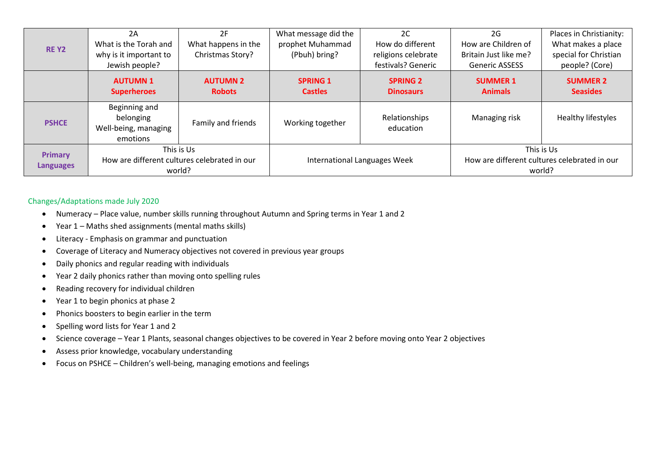| <b>REY2</b>                        | 2A<br>What is the Torah and<br>why is it important to<br>Jewish people? | 2F<br>What happens in the<br>Christmas Story? | What message did the<br>prophet Muhammad<br>(Pbuh) bring? | 2C<br>How do different<br>religions celebrate<br>festivals? Generic | 2G<br>How are Children of<br>Britain Just like me?<br><b>Generic ASSESS</b> | Places in Christianity:<br>What makes a place<br>special for Christian<br>people? (Core) |
|------------------------------------|-------------------------------------------------------------------------|-----------------------------------------------|-----------------------------------------------------------|---------------------------------------------------------------------|-----------------------------------------------------------------------------|------------------------------------------------------------------------------------------|
|                                    | <b>AUTUMN1</b><br><b>Superheroes</b>                                    | <b>AUTUMN 2</b><br><b>Robots</b>              | <b>SPRING 1</b><br><b>Castles</b>                         | <b>SPRING 2</b><br><b>Dinosaurs</b>                                 | <b>SUMMER 1</b><br><b>Animals</b>                                           | <b>SUMMER 2</b><br><b>Seasides</b>                                                       |
| <b>PSHCE</b>                       | Beginning and<br>belonging<br>Well-being, managing<br>emotions          | Family and friends                            | Working together                                          | Relationships<br>education                                          | Managing risk                                                               | Healthy lifestyles                                                                       |
| <b>Primary</b><br><b>Languages</b> | This is Us<br>How are different cultures celebrated in our<br>world?    |                                               | International Languages Week                              |                                                                     | This is Us<br>How are different cultures celebrated in our<br>world?        |                                                                                          |

#### Changes/Adaptations made July 2020

- Numeracy Place value, number skills running throughout Autumn and Spring terms in Year 1 and 2
- Year 1 Maths shed assignments (mental maths skills)
- Literacy Emphasis on grammar and punctuation
- Coverage of Literacy and Numeracy objectives not covered in previous year groups
- Daily phonics and regular reading with individuals
- Year 2 daily phonics rather than moving onto spelling rules
- Reading recovery for individual children
- Year 1 to begin phonics at phase 2
- Phonics boosters to begin earlier in the term
- Spelling word lists for Year 1 and 2
- Science coverage Year 1 Plants, seasonal changes objectives to be covered in Year 2 before moving onto Year 2 objectives
- Assess prior knowledge, vocabulary understanding
- Focus on PSHCE Children's well-being, managing emotions and feelings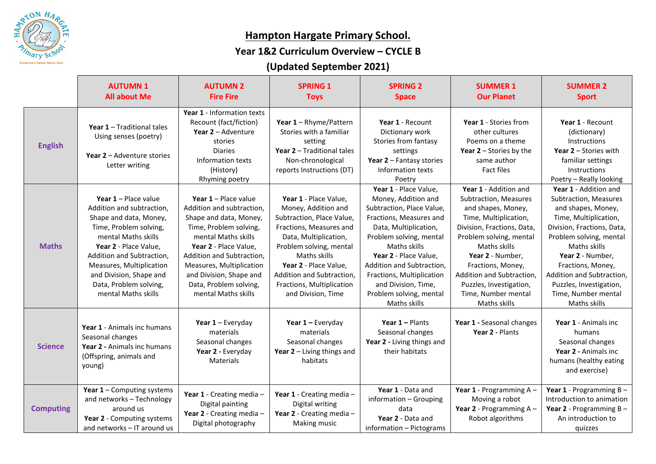

## **Hampton Hargate Primary School.**

### **Year 1&2 Curriculum Overview – CYCLE B**

# **(Updated September 2021)**

|                  | <b>AUTUMN1</b><br><b>All about Me</b>                                                                                                                                                                                                                                                      | <b>AUTUMN 2</b><br><b>Fire Fire</b>                                                                                                                                                                                                                                                          | <b>SPRING 1</b><br><b>Toys</b>                                                                                                                                                                                                                                                    | <b>SPRING 2</b><br><b>Space</b>                                                                                                                                                                                                                                                                                               | <b>SUMMER 1</b><br><b>Our Planet</b>                                                                                                                                                                                                                                                                           | <b>SUMMER 2</b><br><b>Sport</b>                                                                                                                                                                                                                                                                                |
|------------------|--------------------------------------------------------------------------------------------------------------------------------------------------------------------------------------------------------------------------------------------------------------------------------------------|----------------------------------------------------------------------------------------------------------------------------------------------------------------------------------------------------------------------------------------------------------------------------------------------|-----------------------------------------------------------------------------------------------------------------------------------------------------------------------------------------------------------------------------------------------------------------------------------|-------------------------------------------------------------------------------------------------------------------------------------------------------------------------------------------------------------------------------------------------------------------------------------------------------------------------------|----------------------------------------------------------------------------------------------------------------------------------------------------------------------------------------------------------------------------------------------------------------------------------------------------------------|----------------------------------------------------------------------------------------------------------------------------------------------------------------------------------------------------------------------------------------------------------------------------------------------------------------|
| <b>English</b>   | Year 1 - Traditional tales<br>Using senses (poetry)<br>Year 2 - Adventure stories<br>Letter writing                                                                                                                                                                                        | Year 1 - Information texts<br>Recount (fact/fiction)<br>Year 2 - Adventure<br>stories<br><b>Diaries</b><br>Information texts<br>(History)<br>Rhyming poetry                                                                                                                                  | Year $1 - Rhyme/Pattern$<br>Stories with a familiar<br>setting<br>Year 2 - Traditional tales<br>Non-chronological<br>reports Instructions (DT)                                                                                                                                    | Year 1 - Recount<br>Dictionary work<br>Stories from fantasy<br>settings<br>Year 2 - Fantasy stories<br>Information texts<br>Poetry                                                                                                                                                                                            | Year 1 - Stories from<br>other cultures<br>Poems on a theme<br>Year $2$ – Stories by the<br>same author<br><b>Fact files</b>                                                                                                                                                                                   | Year 1 - Recount<br>(dictionary)<br>Instructions<br>Year $2$ – Stories with<br>familiar settings<br><b>Instructions</b><br>Poetry - Really looking                                                                                                                                                             |
| <b>Maths</b>     | Year 1 - Place value<br>Addition and subtraction,<br>Shape and data, Money,<br>Time, Problem solving,<br>mental Maths skills<br>Year 2 - Place Value,<br>Addition and Subtraction,<br>Measures, Multiplication<br>and Division, Shape and<br>Data, Problem solving,<br>mental Maths skills | Year $1$ – Place value<br>Addition and subtraction,<br>Shape and data, Money,<br>Time, Problem solving,<br>mental Maths skills<br>Year 2 - Place Value,<br>Addition and Subtraction,<br>Measures, Multiplication<br>and Division, Shape and<br>Data, Problem solving,<br>mental Maths skills | Year 1 - Place Value,<br>Money, Addition and<br>Subtraction, Place Value,<br>Fractions, Measures and<br>Data, Multiplication,<br>Problem solving, mental<br>Maths skills<br>Year 2 - Place Value,<br>Addition and Subtraction,<br>Fractions, Multiplication<br>and Division, Time | Year 1 - Place Value,<br>Money, Addition and<br>Subtraction, Place Value,<br>Fractions, Measures and<br>Data, Multiplication,<br>Problem solving, mental<br>Maths skills<br>Year 2 - Place Value,<br>Addition and Subtraction,<br>Fractions, Multiplication<br>and Division, Time,<br>Problem solving, mental<br>Maths skills | Year 1 - Addition and<br>Subtraction, Measures<br>and shapes, Money,<br>Time, Multiplication,<br>Division, Fractions, Data,<br>Problem solving, mental<br>Maths skills<br>Year 2 - Number,<br>Fractions, Money,<br>Addition and Subtraction,<br>Puzzles, Investigation,<br>Time, Number mental<br>Maths skills | Year 1 - Addition and<br>Subtraction, Measures<br>and shapes, Money,<br>Time, Multiplication,<br>Division, Fractions, Data,<br>Problem solving, mental<br>Maths skills<br>Year 2 - Number,<br>Fractions, Money,<br>Addition and Subtraction,<br>Puzzles, Investigation,<br>Time, Number mental<br>Maths skills |
| <b>Science</b>   | Year 1 - Animals inc humans<br>Seasonal changes<br>Year 2 - Animals inc humans<br>(Offspring, animals and<br>young)                                                                                                                                                                        | Year $1$ – Everyday<br>materials<br>Seasonal changes<br>Year 2 - Everyday<br>Materials                                                                                                                                                                                                       | Year $1$ – Everyday<br>materials<br>Seasonal changes<br>Year $2$ – Living things and<br>habitats                                                                                                                                                                                  | Year $1 -$ Plants<br>Seasonal changes<br>Year 2 - Living things and<br>their habitats                                                                                                                                                                                                                                         | Year 1 - Seasonal changes<br>Year 2 - Plants                                                                                                                                                                                                                                                                   | Year 1 - Animals inc<br>humans<br>Seasonal changes<br>Year 2 - Animals inc<br>humans (healthy eating<br>and exercise)                                                                                                                                                                                          |
| <b>Computing</b> | Year $1$ – Computing systems<br>and networks - Technology<br>around us<br>Year 2 - Computing systems<br>and networks - IT around us                                                                                                                                                        | Year 1 - Creating media -<br>Digital painting<br>Year 2 - Creating media -<br>Digital photography                                                                                                                                                                                            | Year 1 - Creating media -<br>Digital writing<br>Year 2 - Creating media -<br>Making music                                                                                                                                                                                         | Year 1 - Data and<br>information - Grouping<br>data<br>Year 2 - Data and<br>information - Pictograms                                                                                                                                                                                                                          | Year 1 - Programming A -<br>Moving a robot<br>Year 2 - Programming A -<br>Robot algorithms                                                                                                                                                                                                                     | Year $1$ - Programming B -<br>Introduction to animation<br>Year $2$ - Programming $B -$<br>An introduction to<br>quizzes                                                                                                                                                                                       |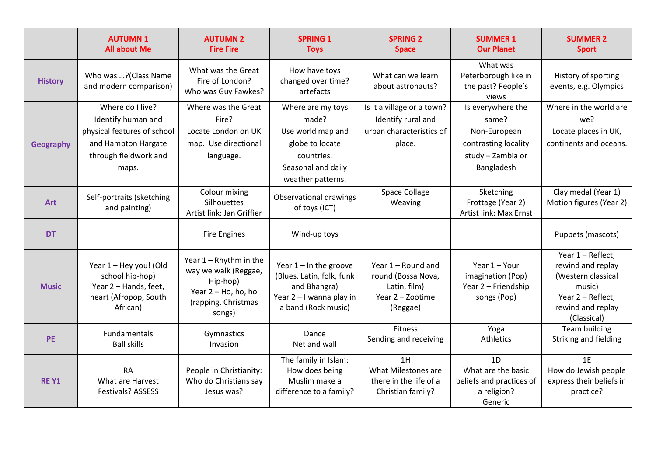|                  | <b>AUTUMN1</b><br><b>All about Me</b>                                                                                          | <b>AUTUMN 2</b><br><b>Fire Fire</b>                                                                                   | <b>SPRING 1</b><br><b>Toys</b>                                                                                              | <b>SPRING 2</b><br><b>Space</b>                                                          | <b>SUMMER 1</b><br><b>Our Planet</b>                                                                  | <b>SUMMER 2</b><br><b>Sport</b>                                                                                                 |
|------------------|--------------------------------------------------------------------------------------------------------------------------------|-----------------------------------------------------------------------------------------------------------------------|-----------------------------------------------------------------------------------------------------------------------------|------------------------------------------------------------------------------------------|-------------------------------------------------------------------------------------------------------|---------------------------------------------------------------------------------------------------------------------------------|
| <b>History</b>   | Who was ? (Class Name<br>and modern comparison)                                                                                | What was the Great<br>Fire of London?<br>Who was Guy Fawkes?                                                          | How have toys<br>changed over time?<br>artefacts                                                                            | What can we learn<br>about astronauts?                                                   | What was<br>Peterborough like in<br>the past? People's<br>views                                       | History of sporting<br>events, e.g. Olympics                                                                                    |
| <b>Geography</b> | Where do I live?<br>Identify human and<br>physical features of school<br>and Hampton Hargate<br>through fieldwork and<br>maps. | Where was the Great<br>Fire?<br>Locate London on UK<br>map. Use directional<br>language.                              | Where are my toys<br>made?<br>Use world map and<br>globe to locate<br>countries.<br>Seasonal and daily<br>weather patterns. | Is it a village or a town?<br>Identify rural and<br>urban characteristics of<br>place.   | Is everywhere the<br>same?<br>Non-European<br>contrasting locality<br>study - Zambia or<br>Bangladesh | Where in the world are<br>we?<br>Locate places in UK,<br>continents and oceans.                                                 |
| <b>Art</b>       | Self-portraits (sketching<br>and painting)                                                                                     | Colour mixing<br>Silhouettes<br>Artist link: Jan Griffier                                                             | Observational drawings<br>of toys (ICT)                                                                                     | Space Collage<br>Weaving                                                                 | Sketching<br>Frottage (Year 2)<br>Artist link: Max Ernst                                              | Clay medal (Year 1)<br>Motion figures (Year 2)                                                                                  |
| <b>DT</b>        |                                                                                                                                | <b>Fire Engines</b>                                                                                                   | Wind-up toys                                                                                                                |                                                                                          |                                                                                                       | Puppets (mascots)                                                                                                               |
| <b>Music</b>     | Year 1 - Hey you! (Old<br>school hip-hop)<br>Year 2 - Hands, feet,<br>heart (Afropop, South<br>African)                        | Year $1 - R$ hythm in the<br>way we walk (Reggae,<br>Hip-hop)<br>Year 2 - Ho, ho, ho<br>(rapping, Christmas<br>songs) | Year $1 - \ln$ the groove<br>(Blues, Latin, folk, funk<br>and Bhangra)<br>Year 2 - I wanna play in<br>a band (Rock music)   | Year 1 - Round and<br>round (Bossa Nova,<br>Latin, film)<br>Year 2 - Zootime<br>(Reggae) | Year 1 - Your<br>imagination (Pop)<br>Year 2 - Friendship<br>songs (Pop)                              | Year 1 - Reflect,<br>rewind and replay<br>(Western classical<br>music)<br>Year 2 - Reflect,<br>rewind and replay<br>(Classical) |
| <b>PE</b>        | <b>Fundamentals</b><br><b>Ball skills</b>                                                                                      | Gymnastics<br>Invasion                                                                                                | Dance<br>Net and wall                                                                                                       | <b>Fitness</b><br>Sending and receiving                                                  | Yoga<br><b>Athletics</b>                                                                              | Team building<br>Striking and fielding                                                                                          |
| <b>RE Y1</b>     | <b>RA</b><br>What are Harvest<br><b>Festivals? ASSESS</b>                                                                      | People in Christianity:<br>Who do Christians say<br>Jesus was?                                                        | The family in Islam:<br>How does being<br>Muslim make a<br>difference to a family?                                          | 1H<br>What Milestones are<br>there in the life of a<br>Christian family?                 | 1D<br>What are the basic<br>beliefs and practices of<br>a religion?<br>Generic                        | 1F<br>How do Jewish people<br>express their beliefs in<br>practice?                                                             |